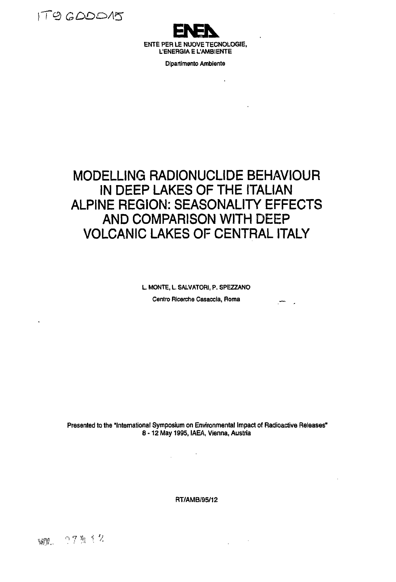



**Dipartimento Ambiente**

 $\overline{\phantom{a}}$ 

 $\mathbf{r}$ 

الم المعلم.

# **MODELLING RADIONUCLIDE BEHAVIOUR IN DEEP LAKES OF THE ITALIAN ALPINE REGION: SEASONALITY EFFECTS AND COMPARISON WITH DEEP VOLCANIC LAKES OF CENTRAL ITALY**

**L. MONTE, L, SALVATORI, P. SPEZZANO Centro Ricerche Casaccia, Roma**

**Presented to the "International Symposium on Environmental Impact of Radioactive Releases" 8 -1 2 May 1995, IAEA, Vienna, Austria**

 $\sim 10$ 

 $\Delta \sim 10^4$ 

**RT/AMB/95/12**

 $\sim$   $\sim$ 

WOR. **PTM** 12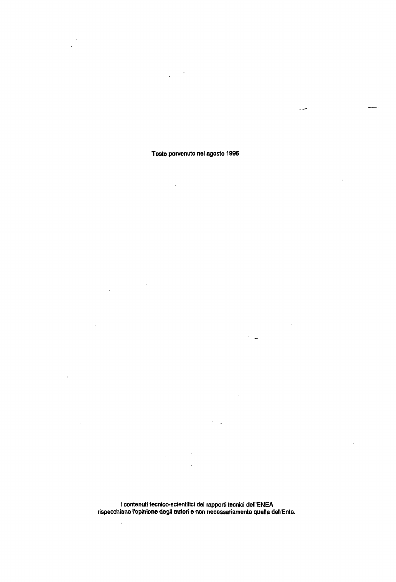## **Testo pervenuto nel agosto 1995**

 $\sim$ 

 $\sim$ 

l.

 $\ddot{\phantom{a}}$ 

l,

 $-$ .

 $\ddot{\phantom{a}}$ 

س ..

 $\ddot{\phantom{a}}$ 

 $\mathbb{R}^3$  .

 $\ddot{\phantom{a}}$ 

 $\overline{\phantom{a}}$ 

J

**I contenuti tecnico-scientifici dei rapporti tecnici dell'ENEA rispecchiano l'opinione degli autori e non necessariamente quella dell'Ente.**

 $\mathbb{Z}$ 

 $\bar{\mathcal{A}}$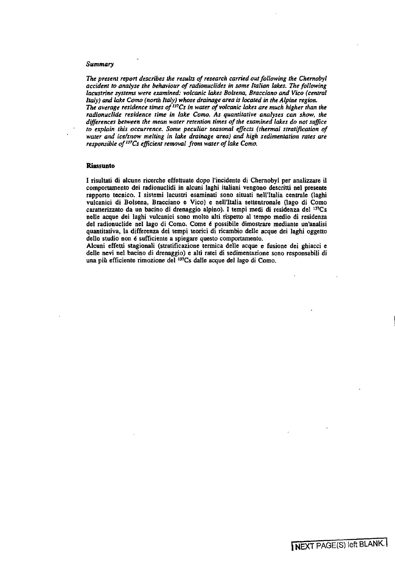#### *Summary*

*The present report describes the results of research carried out following the Chernobyl accident to analyse the behaviour of radionuclides in some Italian lakes. The following lacustrine systems were examined: volcanic lakes Bolsena, Bracciano and Vico (central Italy) and lake Corno (north Italy) whose drainage area is located in the Alpine region. The average residence times of'<sup>n</sup>Cs in water of volcanic lakes are much higher than the* radionuclide residence time in lake Como. As quantitative analyses can show, the

*differences between the mean water retention times of the examined lakes do not suffice to explain this occurrence. Some peculiar seasonal effects (thermal stratification of water and ice/snow melting in lake drainage area) and high sedimentation rates are responsible of <sup>137</sup>Cs efficient removal from water of lake Como.* 

### **Riassunto**

I risultati di alcune ricerche effettuate dopo l'incidente di Chernobyl per analizzare il comportamento dei radìonuclidi in alcuni laghi italiani vengono descrìtti nel presente rapporto tecnico. I sistemi lacustri esaminati sono situati nell'Italia centrale (laghi vulcanici di Bolsena, Bracciano e Vico) e nell'Italia settentronale (lago di Corno caratterizzato da un bacino di drenaggio alpino). I tempi medi di residenza del <sup>137</sup>Cs nelle acque dei laghi vulcanici sono molto alti rispetto al tempo medio di residenza del radionuclide nel lago di Como. Come é possibile dimostrare mediante un'analisi quantitativa, la differenza dei tempi teorici di ricambio delle acque dei laghi oggetto dello studio non é sufficiente a spiegare questo comportamento.

Alcuni effetti stagionali (stratificazione termica delle acque e fusione dei ghiacci e delle nevi nel bacino di drenaggio) e alti ratei di sedimentazione sono responsabili di una più efficiente rimozione del <sup>137</sup>Cs dalle acque del lago di Como.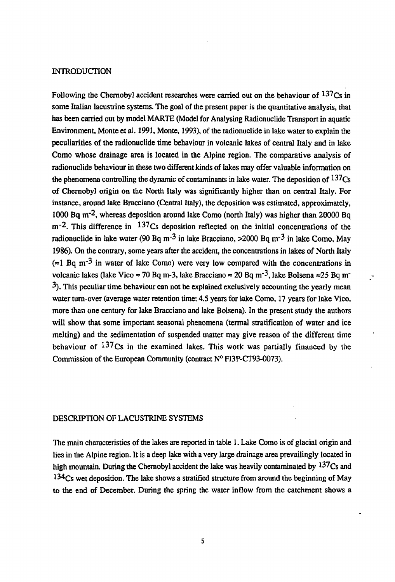### INTRODUCTION

Following the Chernobyl accident researches were carried out on the behaviour of  $137$ Cs in some Italian lacustrine systems. The goal of the present paper is the quantitative analysis, that has been carried out by model MARTE (Model for Analysing Radionuclide Transport in aquatic Environment, Monte et al. 1991, Monte, 1993), of the radionuclide in lake water to explain the peculiarities of the radionuclide time behaviour in volcanic lakes of central Italy and in lake Corno whose drainage area is located in the Alpine region. The comparative analysis of radionuclide behaviour in these two different kinds of lakes may offer valuable information on the phenomena controlling the dynamic of contaminants in lake water. The deposition of  $137<sub>Cs</sub>$ of Chernobyl origin on the North Italy was significantly higher than on central Italy. For instance, around lake Bracciano (Central Italy), the deposition was estimated, approximately, 1000 Bq m<sup>-2</sup>, whereas deposition around lake Como (north Italy) was higher than 20000 Bq m<sup>-2</sup>. This difference in <sup>137</sup>Cs deposition reflected on the initial concentrations of the radionuclide in lake water (90 Bq m<sup>-3</sup> in lake Bracciano,  $>$ 2000 Bq m<sup>-3</sup> in lake Como, May 1986). On the contrary, some years after the accident, the concentrations in lakes of North Italy  $\approx 1$  Bq m<sup>-3</sup> in water of lake Como) were very low compared with the concentrations in volcanic lakes (lake Vico  $\approx$  70 Bq m-3, lake Bracciano  $\approx$  20 Bq m<sup>-3</sup>, lake Bolsena  $\approx$  25 Bq m<sup>-</sup> 3). This peculiar time behaviour can not be explained exclusively accounting the yearly mean water turn-over (average water retention time: 4.5 years for lake Como, 17 years for lake Vico, more than one century for lake Bracciano and lake Bolsena). In the present study the authors will show that some important seasonal phenomena (termal stratification of water and ice melting) and the sedimentation of suspended matter may give reason of the different time behaviour of  $137$  Cs in the examined lakes. This work was partially financed by the Commission of the European Community (contract N° FI3P-CT93-0073).

 $\overline{a}$ 

## DESCRIPTION OF LACUSTRINE SYSTEMS

The main characteristics of the lakes are reported in table 1. Lake Como is of glacial origin and lies in the Alpine region. It is a deep lake with a very large drainage area prevailingly located in high mountain. During the Chernobyl accident the lake was heavily contaminated by  $137Cs$  and <sup>134</sup>Cs wet deposition. The lake shows a stratified structure from around the beginning of May to the end of December. During the spring the water inflow from the catchment shows a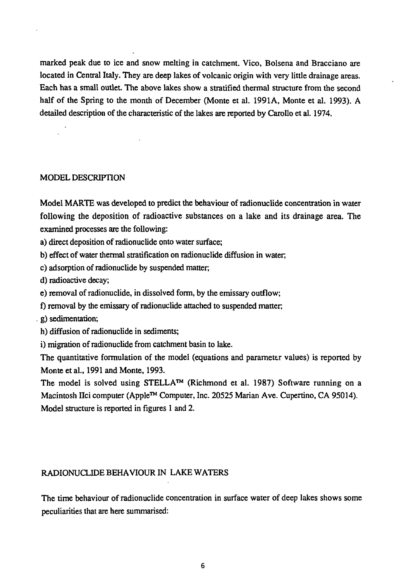marked peak due to ice and snow melting in catchment. Vico, Bolsena and Bracciano are located in Central Italy. They are deep lakes of volcanic origin with very little drainage areas. Each has a small outlet. The above lakes show a stratified thermal structure from the second half of the Spring to the month of December (Monte et al. 1991A, Monte et al. 1993). A detailed description of the characteristic of the lakes are reported by Carollo et al. 1974.

# MODEL DESCRIPTION

Model MARTE was developed to predict the behaviour of radionuclide concentration in water following the deposition of radioactive substances on a lake and its drainage area. The examined processes are the following:

a) direct deposition of radionuclide onto water surface;

b) effect of water thermal stratification on radionuclide diffusion in water,

c) adsorption of radionuclide by suspended matter,

d) radioactive decay;

e) removal of radionuclide, in dissolved form, by the emissary outflow;

f) removal by the emissary of radionuclide attached to suspended matter,

g) sedimentation;

h) diffusion of radionuclide in sediments;

i) migration of radionuclide from catchment basin to lake.

The quantitative formulation of the model (equations and parameter values) is reported by Monte et al, 1991 and Monte, 1993.

The model is solved using STELLA™ (Richmond et al. 1987) Software running on a Macintosh IIci computer (Apple™ Computer, Inc. 20525 Marian Ave. Cupertino, CA 95014). Model structure is reported in figures 1 and 2.

# RADIONUCLIDE BEHAVIOUR IN LAKE WATERS

The time behaviour of radionuclide concentration in surface water of deep lakes shows some peculiarities that are here summarised: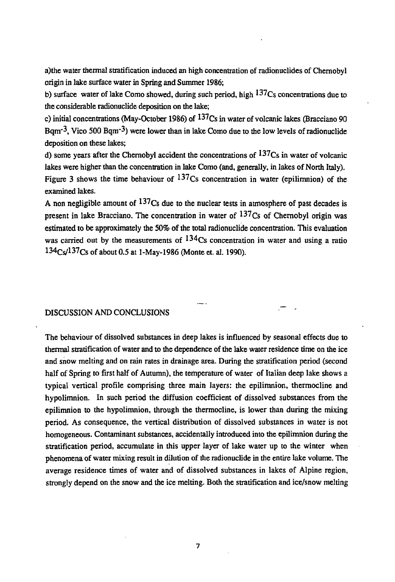a)the water thermal stratification induced an high concentration of radionuclides of Chernobyl origin in lake surface water in Spring and Summer 1986;

b) surface water of lake Como showed, during such period, high  $137C<sub>S</sub>$  concentrations due to the considerable radionuclide deposition on the lake;

c) initial concentrations (May-October 1986) of  $137Cs$  in water of volcanic lakes (Bracciano 90 Bqm<sup>-3</sup>, Vico 500 Bqm<sup>-3</sup>) were lower than in lake Como due to the low levels of radionuclide deposition on these lakes;

d) some years after the Chernobyl accident the concentrations of  $137Cs$  in water of volcanic lakes were higher than the concentration in lake Como (and, generally, in lakes of North Italy). Figure 3 shows the time behaviour of  $13/Cs$  concentration in water (epilimnion) of the examined lakes.

A non negligible amount of  $137Cs$  due to the nuclear tests in atmosphere of past decades is present in lake Bracciano. The concentration in water of  $137Cs$  of Chernobyl origin was estimated to be approximately the 50% of the total radionuclide concentration. This evaluation was carried out by the measurements of  $134C$ s concentration in water and using a ratio 134Cs/137cs of about 0.5 at l-May-1986 (Monte et. al. 1990).

## DISCUSSION AND CONCLUSIONS

The behaviour of dissolved substances in deep lakes is influenced by seasonal effects due to thermal stratification of water and to the dependence of the lake water residence time on the ice and snow melting and on rain rates in drainage area. During the stratification period (second half of Spring to first half of Autumn), the temperature of water of Italian deep lake shows a typical vertical profile comprising three main layers: the epilimnion, thermocline and hypolimnion. In such period the diffusion coefficient of dissolved substances from the epilimnion to the hypolimnion, through the thermocline, is lower than during the mixing period. As consequence, the vertical distribution of dissolved substances in water is not homogeneous. Contaminant substances, accidentally introduced into the epilimnion during the stratification period, accumulate in this upper layer of lake water up to the winter when phenomena of water mixing result in dilution of the radionuclide in the entire lake volume. The average residence times of water and of dissolved substances in lakes of Alpine region, strongly depend on the snow and the ice melting. Both the stratification and ice/snow melting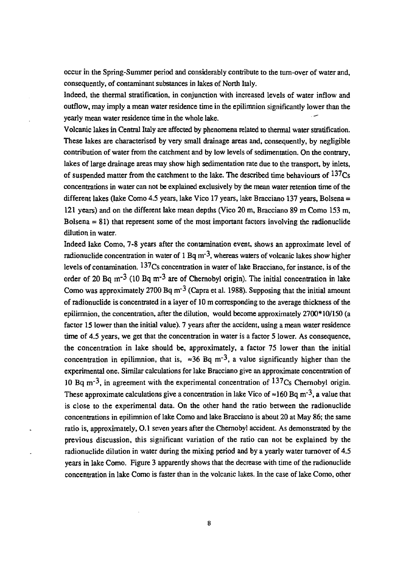occur in the Spring-Summer period and considerably contribute to the turn-over of water and, consequently, of contaminant substances in lakes of North Italy.

Indeed, the thermal stratification, in conjunction with increased levels of water inflow and outflow, may imply a mean water residence time in the epilimnion significantly lower than the yearly mean water residence time in the whole lake.

Volcanic lakes in Central Italy are affected by phenomena related to thermal water stratification. These lakes are characterised by very small drainage areas and, consequently, by negligible contribution of water from the catchment and by low levels of sedimentation. On the contrary, lakes of large drainage areas may show high sedimentation rate due to the transport, by inlets, of suspended matter from the catchment to the lake. The described time behaviours of  $137Cs$ concentrations in water can not be explained exclusively by the mean water retention time of the different lakes (lake Como 4.5 years, lake Vico 17 years, lake Bracciano 137 years, Bolsena = 121 years) and on the different lake mean depths (Vico 20 m, Bracciano 89 m Como 153 m, Bolsena  $= 81$ ) that represent some of the most important factors involving the radionuclide dilution in water.

Indeed lake Como, 7-8 years after the contamination event, shows an approximate level of radionuclide concentration in water of 1 Bq m<sup>-3</sup>, whereas waters of volcanic lakes show higher levels of contamination. 137cs concentration in water of lake Bracciano, for instance, is of the order of 20 Bq m<sup>-3</sup> (10 Bq m<sup>-3</sup> are of Chernobyl origin). The initial concentration in lake Como was approximately 2700 Bq m<sup>-3</sup> (Capra et al. 1988). Supposing that the initial amount of radionuclide is concentrated in a layer of 10 m corresponding to the average thickness of the epilimnion, the concentration, after the dilution, would become approximately 2700\*10/150 (a factor 15 lower than the initial value). 7 years after the accident, using a mean water residence time of 4.5 years, we get that the concentration in water is a factor 5 lower. As consequence, the concentration in lake should be, approximately, a factor 75 lower than the initial concentration in epilimnion, that is,  $\approx 36$  Bq m<sup>-3</sup>, a value significantly higher than the experimental one. Similar calculations for lake Bracciano give an approximate concentration of 10 Bq  $\text{m}^{-3}$ , in agreement with the experimental concentration of  $137\text{Cs}$  Chernobyl origin. These approximate calculations give a concentration in lake Vico of  $\approx$ 160 Bq m<sup>-3</sup>, a value that is close to the experimental data. On the other hand the ratio between the radionuclide concentrations in epilimnion of lake Corno and lake Bracciano is about 20 at May 86; the same ratio is, approximately, 0.1 seven years after the Chernobyl accident. As demonstrated by the previous discussion, this significant variation of the ratio can not be explained by the radionuclide dilution in water during the mixing period and by a yearly water turnover of 4.5 years in lake Corno. Figure 3 apparently shows that the decrease with time of the radionuclide concentration in lake Corno is faster than in the volcanic lakes. In the case of lake Corno, other

8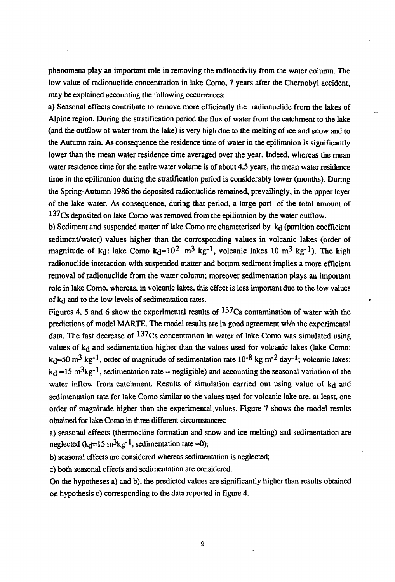phenomena play an important role in removing the radioactivity from the water column. The low value of radionuclide concentration in lake Como, 7 years after the Chernobyl accident, may be explained accounting the following occurrences:

a) Seasonal effects contribute to remove more efficiently the radionuclide from the lakes of Alpine region. During the stratification period the flux of water from the catchment to the lake (and the outflow of water from the lake) is very high due to the melting of ice and snow and to the Autumn rain. As consequence the residence time of water in the epilimnion is significantly lower than the mean water residence time averaged over the year. Indeed, whereas the mean water residence time for the entire water volume is of about 4.5 years, the mean water residence time in the epilimnion during the stratification period is considerably lower (months). During the Spring-Autumn 1986 the deposited radionuclide remained, prevailingly, in the upper layer of the lake water. As consequence, during that period, a large part of the total amount of 137<sub>Cs</sub> deposited on lake Como was removed from the epilimnion by the water outflow.

b) Sediment and suspended matter of lake Como are characterised by kd (partition coefficient sediment/water) values higher than the corresponding values in volcanic lakes (order of magnitude of k<sub>d</sub>: lake Como k<sub>d</sub> $\approx$  10<sup>2</sup> m<sup>3</sup> kg<sup>-1</sup>, volcanic lakes 10 m<sup>3</sup> kg<sup>-1</sup>). The high radionuclide interaction with suspended matter and bottom sediment implies a more efficient removal of radionuclide from the water column; moreover sedimentation plays an important role in lake Como, whereas, in volcanic lakes, this effect is less important due to the low values of kd and to the low levels of sedimentation rates.

Figures 4, 5 and 6 show the experimental results of  $137Cs$  contamination of water with the predictions of model MARTE. The model results are in good agreement with the experimental data. The fast decrease of  $^{137}Cs$  concentration in water of lake Como was simulated using values of k<sub>d</sub> and sedimentation higher than the values used for volcanic lakes (lake Como:  $k_d$ =50 m<sup>3</sup> kg<sup>-1</sup>, order of magnitude of sedimentation rate 10<sup>-8</sup> kg m<sup>-2</sup> day<sup>-1</sup>; volcanic lakes:  $k_d = 15 \text{ m}^3 \text{kg}^{-1}$ , sedimentation rate = negligible) and accounting the seasonal variation of the water inflow from catchment. Results of simulation carried out using value of kd and sedimentation rate for lake Como similar to the values used for volcanic lake are, at least, one order of magnitude higher than the experimental values. Figure 7 shows the model results obtained for lake Como in three different circumstances:

a) seasonal effects (thermocline formation and snow and ice melting) and sedimentation are neglected (k<sub>d</sub>=15 m<sup>3</sup>kg<sup>-1</sup>, sedimentation rate =0);

b) seasonal effects are considered whereas sedimentation is neglected;

c) both seasonal effects and sedimentation are considered.

On the hypotheses a) and b), the predicted values are significantly higher than results obtained on hypothesis c) corresponding to the data reported in figure 4.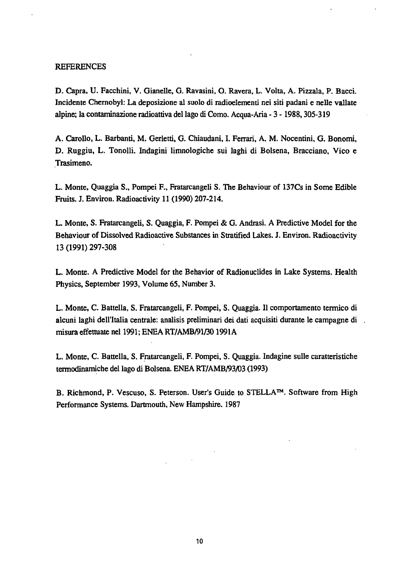### **REFERENCES**

D. Capra, U. Facchini, V. Gianelle, G. Ravasini, O. Ravera, L. Volta, A. Pizzala, P. Bacci. Incidente Chernobyl: La deposizione al suolo di radioelementi nei siti padani e nelle vallate alpine; la contaminazione radioattiva del lago di Corno. Acqua-Aria - 3 -1988,305-319

A. Carollo, L. Barbanti, M. Gerletti, G. Chiaudani, I. Ferrari, A. M. Nocentini, G. Bonomi, D. Ruggiu, L. Tonolli. Indagini limnologiche sui laghi di Bolsena, Bracciano, Vico e Trasimeno.

L. Monte, Quaggia S., Pompei F., Fratarcangeli S. The Behaviour of 137Cs in Some Edible Fruits. J. Environ. Radioactivity 11 (1990) 207-214.

L. Monte, S. Fratarcangeli, S. Quaggia, F. Pompei & G. Andrasi. A Predictive Model for the Behaviour of Dissolved Radioactive Substances in Stratified Lakes. J. Environ. Radioactivity 13 (1991) 297-308

L. Monte. A Predictive Model for the Behavior of Radionuclides in Lake Systems. Health Physics, September 1993, Volume 65, Number 3.

L. Monte, C. Battella, S. Fratarcangeli, F. Pompei, S. Quaggia. Il comportamento termico di alcuni laghi dell'Italia centrale: analisis preliminari dei dati acquisiti durante le campagne di misura effettuate nel 1991; ENEA RT/AMB/91/301991A

L. Monte, C. Battella, S. Fratarcangeli, F. Pompei, S. Quaggia. Indagine sulle caratteristiche termodinamiche del lago di Bolsena. ENEA RT/AMB/93/03 (1993)

B. Richmond, P. Vescuso, S. Peterson. User's Guide to STELLA™. Software from High Performance Systems. Dartmouth, New Hampshire. 1987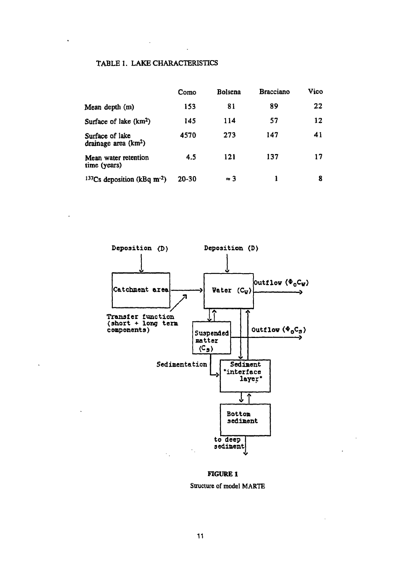# **TABLE 1. LAKE CHARACTERISTICS**

 $\ddot{\phantom{a}}$ 

 $\ddot{\phantom{0}}$ 

 $\ddot{\phantom{a}}$ 

|                                           | Como      | <b>Bolsena</b> | <b>Bracciano</b> | Vico |
|-------------------------------------------|-----------|----------------|------------------|------|
| Mean depth (m)                            | 153       | 81             | 89               | 22   |
| Surface of lake (km <sup>2</sup> )        | 145       | 114            | 57               | 12   |
| Surface of lake<br>drainage area $(km2)$  | 4570      | 273            | 147              | 41   |
| Mean water retention<br>time (years)      | 4.5       | 121            | 137              | 17   |
| $137Cs$ deposition (kBq m <sup>-2</sup> ) | $20 - 30$ | $\approx 3$    |                  | 8    |



#### **FIGURE 1**

**Structure of model MARTE**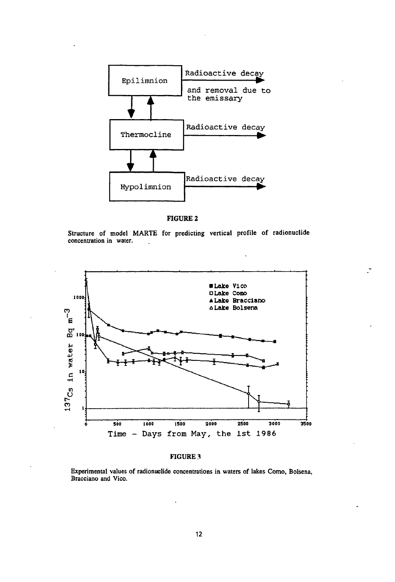

**FIGURE 2**

**Structure of model MARTE for predicting vertical profile of radionuclide concentration in water.**



### **FIGURE 3**

**Experimental values of radionuclide concentrations in waters of lakes Comò, Bolsena, Bracciano and Vico.**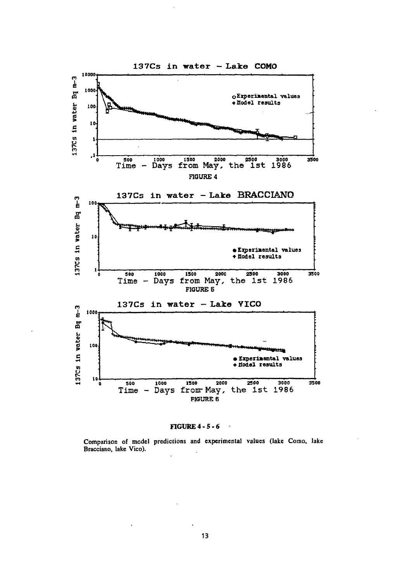



**Comparison of model predictions and experimental values (lake Corno, lake Bracciano, lake Vico).**  $\overline{a}$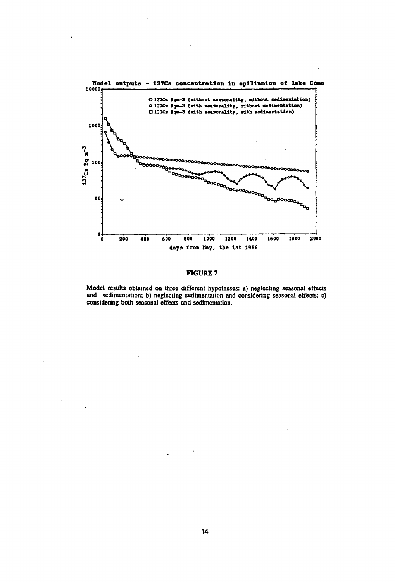

#### **FIGURE 7**

**Model results obtained on three different hypotheses: a) neglecting seasonal effects and sedimentation; b) neglecting sedimentation and considering seasonal effects; c) considering both seasonal effects and sedimentation.**